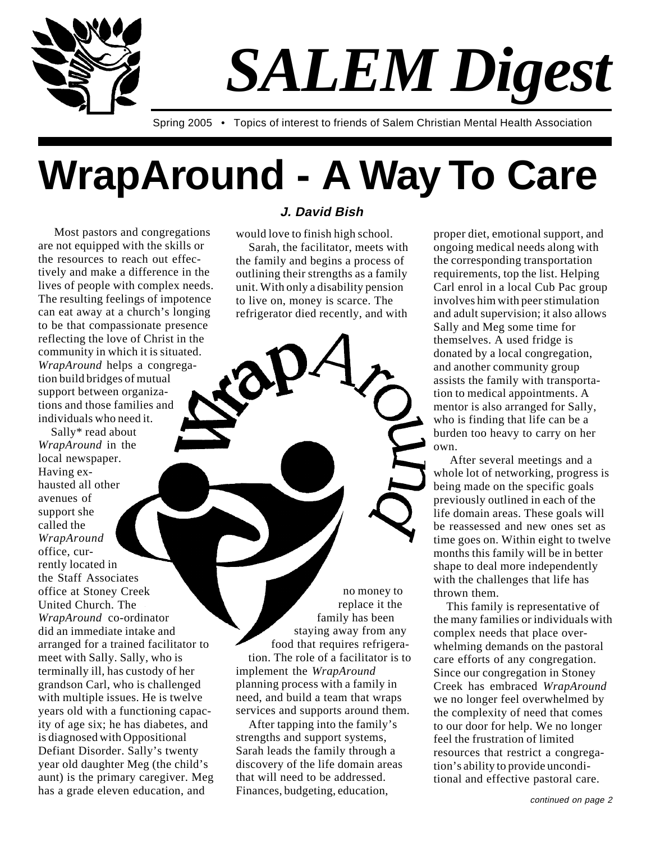

# *SALEM Digest*

Spring 2005 • Topics of interest to friends of Salem Christian Mental Health Association

## **WrapAround - A Way To Care**

 Most pastors and congregations are not equipped with the skills or the resources to reach out effectively and make a difference in the lives of people with complex needs. The resulting feelings of impotence can eat away at a church's longing to be that compassionate presence reflecting the love of Christ in the community in which it is situated. *WrapAround* helps a congregation build bridges of mutual support between organizations and those families and individuals who need it.

Sally\* read about *WrapAround* in the local newspaper. Having exhausted all other avenues of support she called the *WrapAround* office, currently located in the Staff Associates office at Stoney Creek United Church. The *WrapAround* co-ordinator did an immediate intake and arranged for a trained facilitator to meet with Sally. Sally, who is terminally ill, has custody of her grandson Carl, who is challenged with multiple issues. He is twelve years old with a functioning capacity of age six; he has diabetes, and is diagnosed with Oppositional Defiant Disorder. Sally's twenty year old daughter Meg (the child's aunt) is the primary caregiver. Meg has a grade eleven education, and

#### **J. David Bish**

would love to finish high school.

Sarah, the facilitator, meets with the family and begins a process of outlining their strengths as a family unit. With only a disability pension to live on, money is scarce. The refrigerator died recently, and with

no money to replace it the family has been staying away from any food that requires refrigeration. The role of a facilitator is to implement the *WrapAround* planning process with a family in need, and build a team that wraps services and supports around them.

After tapping into the family's strengths and support systems, Sarah leads the family through a discovery of the life domain areas that will need to be addressed. Finances, budgeting, education,

proper diet, emotional support, and ongoing medical needs along with the corresponding transportation requirements, top the list. Helping Carl enrol in a local Cub Pac group involves him with peer stimulation and adult supervision; it also allows Sally and Meg some time for themselves. A used fridge is donated by a local congregation, and another community group assists the family with transportation to medical appointments. A mentor is also arranged for Sally, who is finding that life can be a burden too heavy to carry on her own.

 After several meetings and a whole lot of networking, progress is being made on the specific goals previously outlined in each of the life domain areas. These goals will be reassessed and new ones set as time goes on. Within eight to twelve months this family will be in better shape to deal more independently with the challenges that life has thrown them.

This family is representative of the many families or individuals with complex needs that place overwhelming demands on the pastoral care efforts of any congregation. Since our congregation in Stoney Creek has embraced *WrapAround* we no longer feel overwhelmed by the complexity of need that comes to our door for help. We no longer feel the frustration of limited resources that restrict a congregation's ability to provide unconditional and effective pastoral care.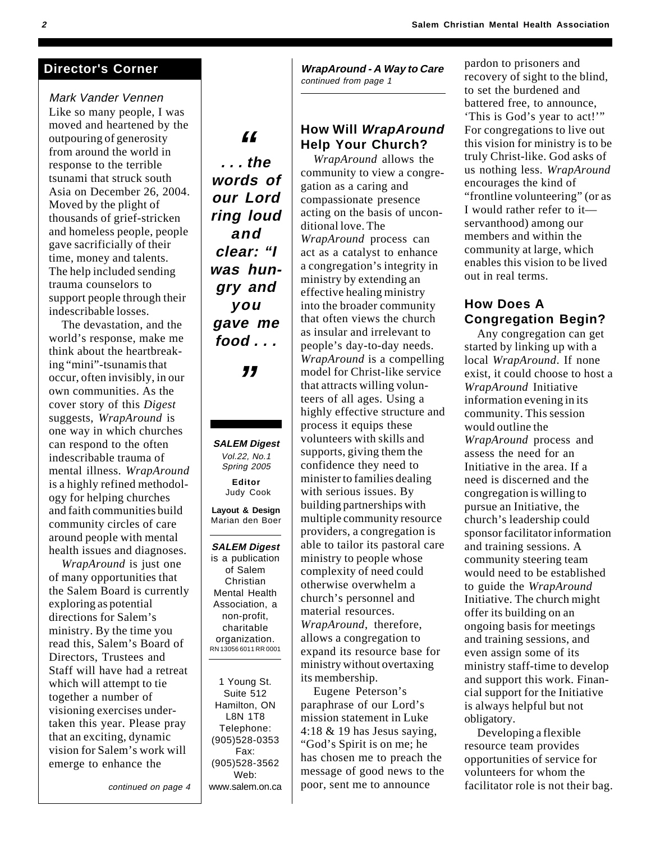Mark Vander Vennen Like so many people, I was moved and heartened by the outpouring of generosity from around the world in response to the terrible tsunami that struck south Asia on December 26, 2004. Moved by the plight of thousands of grief-stricken and homeless people, people gave sacrificially of their time, money and talents. The help included sending trauma counselors to support people through their indescribable losses.

The devastation, and the world's response, make me think about the heartbreaking "mini"-tsunamis that occur, often invisibly, in our own communities. As the cover story of this *Digest* suggests, *WrapAround* is one way in which churches can respond to the often indescribable trauma of mental illness. *WrapAround* is a highly refined methodology for helping churches and faith communities build community circles of care around people with mental health issues and diagnoses.

*WrapAround* is just one of many opportunities that the Salem Board is currently exploring as potential directions for Salem's ministry. By the time you read this, Salem's Board of Directors, Trustees and Staff will have had a retreat which will attempt to tie together a number of visioning exercises undertaken this year. Please pray that an exciting, dynamic vision for Salem's work will emerge to enhance the

continued on page 4

**Director's Corner**  WrapAround - A Way to Care continued from page 1

#### **How Will WrapAround Help Your Church?**

*WrapAround* allows the community to view a congregation as a caring and compassionate presence acting on the basis of unconditional love. The *WrapAround* process can act as a catalyst to enhance a congregation's integrity in ministry by extending an effective healing ministry into the broader community that often views the church as insular and irrelevant to people's day-to-day needs. *WrapAround* is a compelling model for Christ-like service that attracts willing volunteers of all ages. Using a highly effective structure and process it equips these volunteers with skills and supports, giving them the confidence they need to minister to families dealing with serious issues. By building partnerships with multiple community resource providers, a congregation is able to tailor its pastoral care ministry to people whose complexity of need could otherwise overwhelm a church's personnel and material resources. *WrapAround*, therefore, allows a congregation to expand its resource base for ministry without overtaxing its membership.

Eugene Peterson's paraphrase of our Lord's mission statement in Luke 4:18 & 19 has Jesus saying, "God's Spirit is on me; he has chosen me to preach the message of good news to the poor, sent me to announce

pardon to prisoners and recovery of sight to the blind, to set the burdened and battered free, to announce, 'This is God's year to act!'" For congregations to live out this vision for ministry is to be truly Christ-like. God asks of us nothing less. *WrapAround* encourages the kind of "frontline volunteering" (or as I would rather refer to it servanthood) among our members and within the community at large, which enables this vision to be lived out in real terms.

#### **How Does A Congregation Begin?**

Any congregation can get started by linking up with a local *WrapAround*. If none exist, it could choose to host a *WrapAround* Initiative information evening in its community. This session would outline the *WrapAround* process and assess the need for an Initiative in the area. If a need is discerned and the congregation is willing to pursue an Initiative, the church's leadership could sponsor facilitator information and training sessions. A community steering team would need to be established to guide the *WrapAround* Initiative. The church might offer its building on an ongoing basis for meetings and training sessions, and even assign some of its ministry staff-time to develop and support this work. Financial support for the Initiative is always helpful but not obligatory.

Developing a flexible resource team provides opportunities of service for volunteers for whom the facilitator role is not their bag.

**. . . the words of our Lord ring loud and clear: "I was hungry and you gave me food . . .**

**"**

**SALEM Digest** Vol.22, No.1 Spring 2005 **Editor** Judy Cook

**"**

**Layout & Design** Marian den Boer

**SALEM Digest** is a publication of Salem Christian Mental Health Association, a non-profit, charitable organization. RN 13056 6011 RR 0001

1 Young St. Suite 512 Hamilton, ON L8N 1T8 Telephone: (905)528-0353 Fax: (905)528-3562 Web: www.salem.on.ca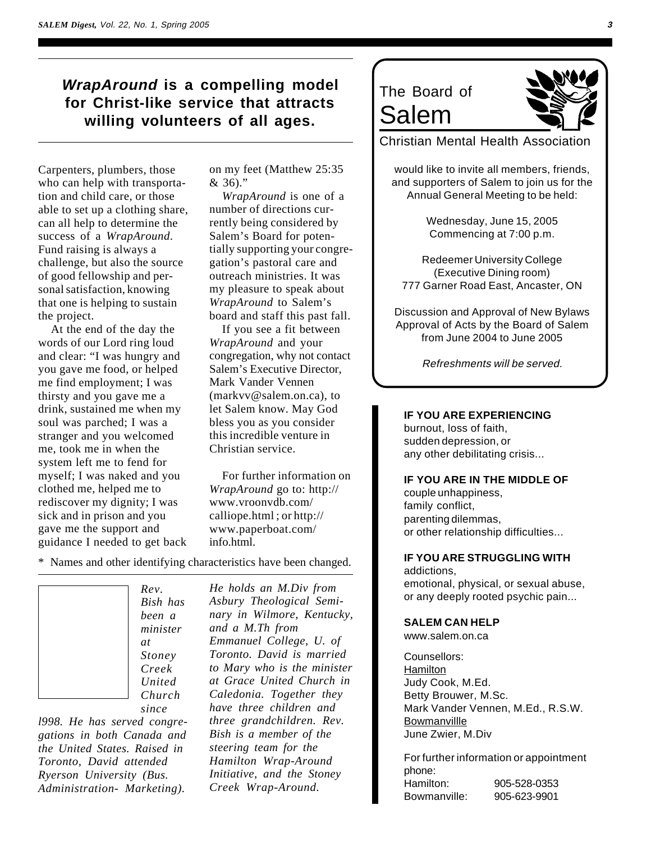#### **WrapAround is a compelling model for Christ-like service that attracts willing volunteers of all ages.**

Carpenters, plumbers, those who can help with transportation and child care, or those able to set up a clothing share, can all help to determine the success of a *WrapAround*. Fund raising is always a challenge, but also the source of good fellowship and personal satisfaction, knowing that one is helping to sustain the project.

At the end of the day the words of our Lord ring loud and clear: "I was hungry and you gave me food, or helped me find employment; I was thirsty and you gave me a drink, sustained me when my soul was parched; I was a stranger and you welcomed me, took me in when the system left me to fend for myself; I was naked and you clothed me, helped me to rediscover my dignity; I was sick and in prison and you gave me the support and guidance I needed to get back on my feet (Matthew 25:35  $& 36.$ "

*WrapAround* is one of a number of directions currently being considered by Salem's Board for potentially supporting your congregation's pastoral care and outreach ministries. It was my pleasure to speak about *WrapAround* to Salem's board and staff this past fall.

If you see a fit between *WrapAround* and your congregation, why not contact Salem's Executive Director, Mark Vander Vennen (markvv@salem.on.ca), to let Salem know. May God bless you as you consider this incredible venture in Christian service.

For further information on *WrapAround* go to: http:// www.vroonvdb.com/ calliope.html ; or http:// www.paperboat.com/ info.html.

- \* Names and other identifying characteristics have been changed.
	- *Rev. Bish has been a minister at Stoney Creek United Church*

*since l998. He has served congregations in both Canada and the United States. Raised in Toronto, David attended Ryerson University (Bus. Administration- Marketing).*

*He holds an M.Div from Asbury Theological Seminary in Wilmore, Kentucky, and a M.Th from Emmanuel College, U. of Toronto. David is married to Mary who is the minister at Grace United Church in Caledonia. Together they have three children and three grandchildren. Rev. Bish is a member of the steering team for the Hamilton Wrap-Around Initiative, and the Stoney Creek Wrap-Around.*

### The Board of Salem

Christian Mental Health Association

would like to invite all members, friends, and supporters of Salem to join us for the Annual General Meeting to be held:

> Wednesday, June 15, 2005 Commencing at 7:00 p.m.

Redeemer University College (Executive Dining room) 777 Garner Road East, Ancaster, ON

Discussion and Approval of New Bylaws Approval of Acts by the Board of Salem from June 2004 to June 2005

Refreshments will be served.

#### **IF YOU ARE EXPERIENCING**

burnout, loss of faith, sudden depression, or any other debilitating crisis...

#### **IF YOU ARE IN THE MIDDLE OF**

couple unhappiness, family conflict, parenting dilemmas, or other relationship difficulties...

#### **IF YOU ARE STRUGGLING WITH**

addictions, emotional, physical, or sexual abuse, or any deeply rooted psychic pain...

#### **SALEM CAN HELP**

www.salem.on.ca

Counsellors: Hamilton Judy Cook, M.Ed. Betty Brouwer, M.Sc. Mark Vander Vennen, M.Ed., R.S.W. **Bowmanvillle** June Zwier, M.Div

For further information or appointment phone: Hamilton: 905-528-0353 Bowmanville: 905-623-9901